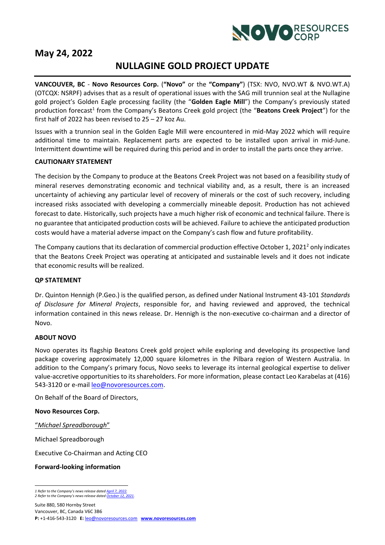

## **May 24, 2022**

# **NULLAGINE GOLD PROJECT UPDATE**

**VANCOUVER, BC** - **Novo Resources Corp.** (**"Novo"** or the **"Company"**) (TSX: NVO, NVO.WT & NVO.WT.A) (OTCQX: NSRPF) advises that as a result of operational issues with the SAG mill trunnion seal at the Nullagine gold project's Golden Eagle processing facility (the "**Golden Eagle Mill**") the Company's previously stated production forecast<sup>1</sup> from the Company's Beatons Creek gold project (the "Beatons Creek Project") for the first half of 2022 has been revised to 25 – 27 koz Au.

Issues with a trunnion seal in the Golden Eagle Mill were encountered in mid-May 2022 which will require additional time to maintain. Replacement parts are expected to be installed upon arrival in mid-June. Intermittent downtime will be required during this period and in order to install the parts once they arrive.

### **CAUTIONARY STATEMENT**

The decision by the Company to produce at the Beatons Creek Project was not based on a feasibility study of mineral reserves demonstrating economic and technical viability and, as a result, there is an increased uncertainty of achieving any particular level of recovery of minerals or the cost of such recovery, including increased risks associated with developing a commercially mineable deposit. Production has not achieved forecast to date. Historically, such projects have a much higher risk of economic and technical failure. There is no guarantee that anticipated production costs will be achieved. Failure to achieve the anticipated production costs would have a material adverse impact on the Company's cash flow and future profitability.

The Company cautions that its declaration of commercial production effective October 1, 2021<sup>2</sup> only indicates that the Beatons Creek Project was operating at anticipated and sustainable levels and it does not indicate that economic results will be realized.

### **QP STATEMENT**

Dr. Quinton Hennigh (P.Geo.) is the qualified person, as defined under National Instrument 43-101 *Standards of Disclosure for Mineral Projects*, responsible for, and having reviewed and approved, the technical information contained in this news release. Dr. Hennigh is the non-executive co-chairman and a director of Novo.

### **ABOUT NOVO**

Novo operates its flagship Beatons Creek gold project while exploring and developing its prospective land package covering approximately 12,000 square kilometres in the Pilbara region of Western Australia. In addition to the Company's primary focus, Novo seeks to leverage its internal geological expertise to deliver value-accretive opportunities to its shareholders. For more information, please contact Leo Karabelas at (416) 543-3120 or e-mail [leo@novoresources.com.](about:blank)

On Behalf of the Board of Directors,

#### **Novo Resources Corp.**

"*Michael Spreadborough*"

Michael Spreadborough

Executive Co-Chairman and Acting CEO

### **Forward-looking information**

*<sup>1</sup> Refer to the Company's news release dated [April 7, 2022.](https://novoresources.com/wp-content/uploads/2022/04/Novo-Q1-22-Ops-Update-FINAL.pdf?_ga=2.147866096.614899599.1650922133-441614328.1650922133&_gl=1*18yf6hk*_ga*NDQxNjE0MzI4LjE2NTA5MjIxMzM.*_ga_GZ8D5VXBV5*MTY1MDkyNDE5Ny4yLjAuMTY1MDkyNDE5Ny4w) 2 Refer to the Company's news release dated [October 12, 2021.](https://novoresources.com/wp-content/uploads/2022/01/2021-10-12-1.pdf)*